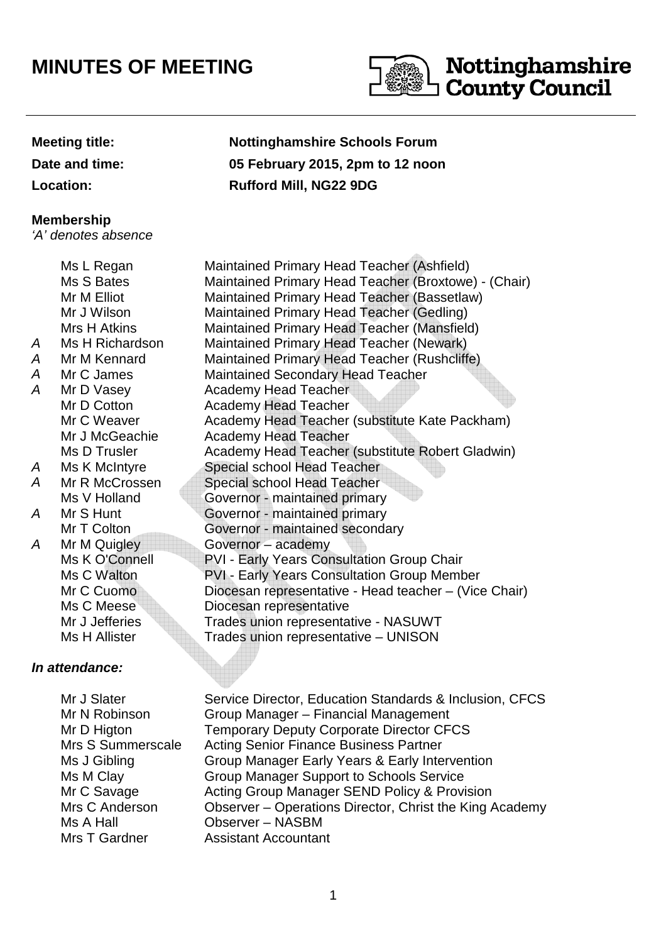## **MINUTES OF MEETING**



## Nottinghamshire **County Council**

| <b>Meeting title:</b> | <b>Nottinghamshire Schools Forum</b> |  |
|-----------------------|--------------------------------------|--|
| Date and time:        | 05 February 2015, 2pm to 12 noon     |  |
| <b>Location:</b>      | <b>Rufford Mill, NG22 9DG</b>        |  |
| Membership            |                                      |  |
| 'A' denotes absence   |                                      |  |
|                       |                                      |  |

| A<br>A<br>Α | Ms L Regan<br>Ms S Bates<br>Mr M Elliot<br>Mr J Wilson<br>Mrs H Atkins<br>Ms H Richardson<br>Mr M Kennard<br>Mr C James | Maintained Primary Head Teacher (Ashfield)<br>Maintained Primary Head Teacher (Broxtowe) - (Chair)<br>Maintained Primary Head Teacher (Bassetlaw)<br><b>Maintained Primary Head Teacher (Gedling)</b><br>Maintained Primary Head Teacher (Mansfield)<br>Maintained Primary Head Teacher (Newark)<br>Maintained Primary Head Teacher (Rushcliffe)<br><b>Maintained Secondary Head Teacher</b> |
|-------------|-------------------------------------------------------------------------------------------------------------------------|----------------------------------------------------------------------------------------------------------------------------------------------------------------------------------------------------------------------------------------------------------------------------------------------------------------------------------------------------------------------------------------------|
| A           | Mr D Vasey                                                                                                              | <b>Academy Head Teacher</b>                                                                                                                                                                                                                                                                                                                                                                  |
|             | Mr D Cotton                                                                                                             | <b>Academy Head Teacher</b>                                                                                                                                                                                                                                                                                                                                                                  |
|             | Mr C Weaver                                                                                                             | Academy Head Teacher (substitute Kate Packham)                                                                                                                                                                                                                                                                                                                                               |
|             | Mr J McGeachie                                                                                                          | <b>Academy Head Teacher</b>                                                                                                                                                                                                                                                                                                                                                                  |
|             | Ms D Trusler                                                                                                            | Academy Head Teacher (substitute Robert Gladwin)                                                                                                                                                                                                                                                                                                                                             |
| A           | Ms K McIntyre                                                                                                           | Special school Head Teacher                                                                                                                                                                                                                                                                                                                                                                  |
| A           | Mr R McCrossen                                                                                                          | Special school Head Teacher                                                                                                                                                                                                                                                                                                                                                                  |
|             | Ms V Holland                                                                                                            | Governor - maintained primary                                                                                                                                                                                                                                                                                                                                                                |
| A           | Mr S Hunt                                                                                                               | Governor - maintained primary                                                                                                                                                                                                                                                                                                                                                                |
|             | Mr T Colton                                                                                                             | Governor - maintained secondary                                                                                                                                                                                                                                                                                                                                                              |
| A           | Mr M Quigley                                                                                                            | Governor - academy                                                                                                                                                                                                                                                                                                                                                                           |
|             | Ms K O'Connell                                                                                                          | PVI - Early Years Consultation Group Chair                                                                                                                                                                                                                                                                                                                                                   |
|             | Ms C Walton                                                                                                             | <b>PVI - Early Years Consultation Group Member</b>                                                                                                                                                                                                                                                                                                                                           |
|             | Mr C Cuomo                                                                                                              | Diocesan representative - Head teacher - (Vice Chair)                                                                                                                                                                                                                                                                                                                                        |
|             | Ms C Meese                                                                                                              | Diocesan representative                                                                                                                                                                                                                                                                                                                                                                      |
|             | Mr J Jefferies                                                                                                          | Trades union representative - NASUWT                                                                                                                                                                                                                                                                                                                                                         |
|             | Ms H Allister                                                                                                           | Trades union representative - UNISON                                                                                                                                                                                                                                                                                                                                                         |
|             |                                                                                                                         |                                                                                                                                                                                                                                                                                                                                                                                              |

## **In attendance:**

 Mr J Slater Mr N Robinson Ms J Gibling Ms M Clay Mr C Savage Ms A Hall Mrs T Gardner

Service Director, Education Standards & Inclusion, CFCS Group Manager – Financial Management Mr D Higton **Temporary Deputy Corporate Director CFCS**  Mrs S Summerscale Acting Senior Finance Business Partner Group Manager Early Years & Early Intervention Group Manager Support to Schools Service Acting Group Manager SEND Policy & Provision Mrs C Anderson **Observer** – Operations Director, Christ the King Academy Observer – NASBM Assistant Accountant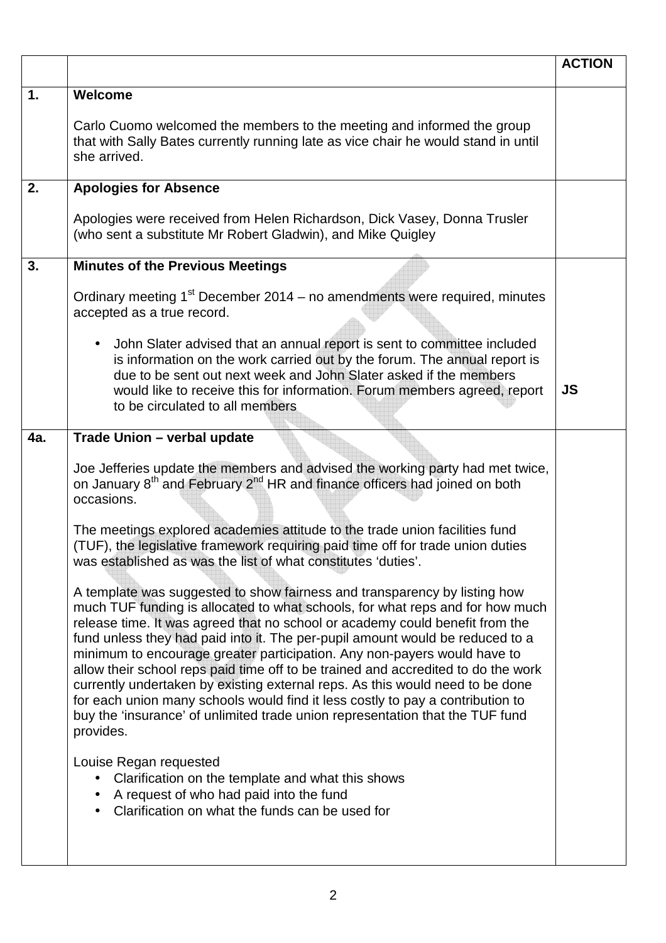|     |                                                                                                                                                                                                                                                                                                                                                                                                                                                                                                                                                                                                                                                                                                                                                               | <b>ACTION</b> |
|-----|---------------------------------------------------------------------------------------------------------------------------------------------------------------------------------------------------------------------------------------------------------------------------------------------------------------------------------------------------------------------------------------------------------------------------------------------------------------------------------------------------------------------------------------------------------------------------------------------------------------------------------------------------------------------------------------------------------------------------------------------------------------|---------------|
| 1.  | Welcome<br>Carlo Cuomo welcomed the members to the meeting and informed the group<br>that with Sally Bates currently running late as vice chair he would stand in until<br>she arrived.                                                                                                                                                                                                                                                                                                                                                                                                                                                                                                                                                                       |               |
| 2.  | <b>Apologies for Absence</b>                                                                                                                                                                                                                                                                                                                                                                                                                                                                                                                                                                                                                                                                                                                                  |               |
|     | Apologies were received from Helen Richardson, Dick Vasey, Donna Trusler<br>(who sent a substitute Mr Robert Gladwin), and Mike Quigley                                                                                                                                                                                                                                                                                                                                                                                                                                                                                                                                                                                                                       |               |
| 3.  | <b>Minutes of the Previous Meetings</b>                                                                                                                                                                                                                                                                                                                                                                                                                                                                                                                                                                                                                                                                                                                       |               |
|     | Ordinary meeting 1 <sup>st</sup> December 2014 – no amendments were required, minutes<br>accepted as a true record.                                                                                                                                                                                                                                                                                                                                                                                                                                                                                                                                                                                                                                           |               |
|     | John Slater advised that an annual report is sent to committee included<br>is information on the work carried out by the forum. The annual report is<br>due to be sent out next week and John Slater asked if the members<br>would like to receive this for information. Forum members agreed, report<br>to be circulated to all members                                                                                                                                                                                                                                                                                                                                                                                                                      | <b>JS</b>     |
| 4a. | Trade Union - verbal update                                                                                                                                                                                                                                                                                                                                                                                                                                                                                                                                                                                                                                                                                                                                   |               |
|     | Joe Jefferies update the members and advised the working party had met twice,<br>on January 8 <sup>th</sup> and February 2 <sup>nd</sup> HR and finance officers had joined on both<br>occasions.                                                                                                                                                                                                                                                                                                                                                                                                                                                                                                                                                             |               |
|     | The meetings explored academies attitude to the trade union facilities fund<br>(TUF), the legislative framework requiring paid time off for trade union duties<br>was established as was the list of what constitutes 'duties'.                                                                                                                                                                                                                                                                                                                                                                                                                                                                                                                               |               |
|     | A template was suggested to show fairness and transparency by listing how<br>much TUF funding is allocated to what schools, for what reps and for how much<br>release time. It was agreed that no school or academy could benefit from the<br>fund unless they had paid into it. The per-pupil amount would be reduced to a<br>minimum to encourage greater participation. Any non-payers would have to<br>allow their school reps paid time off to be trained and accredited to do the work<br>currently undertaken by existing external reps. As this would need to be done<br>for each union many schools would find it less costly to pay a contribution to<br>buy the 'insurance' of unlimited trade union representation that the TUF fund<br>provides. |               |
|     | Louise Regan requested<br>Clarification on the template and what this shows<br>A request of who had paid into the fund<br>Clarification on what the funds can be used for                                                                                                                                                                                                                                                                                                                                                                                                                                                                                                                                                                                     |               |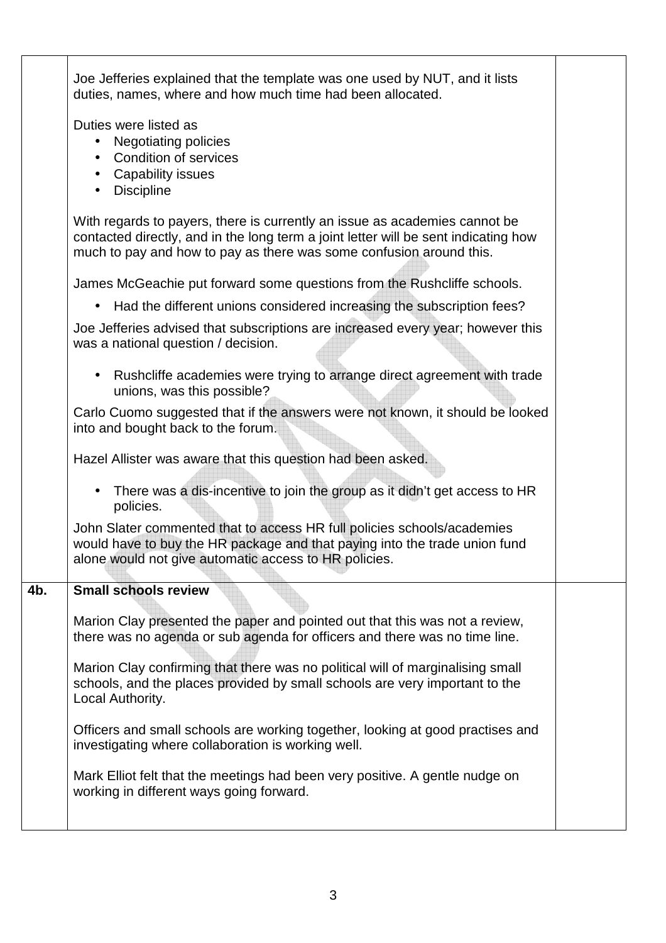|     | Joe Jefferies explained that the template was one used by NUT, and it lists<br>duties, names, where and how much time had been allocated.                                                                                                |  |  |
|-----|------------------------------------------------------------------------------------------------------------------------------------------------------------------------------------------------------------------------------------------|--|--|
|     | Duties were listed as<br><b>Negotiating policies</b><br><b>Condition of services</b><br><b>Capability issues</b><br><b>Discipline</b><br>$\bullet$                                                                                       |  |  |
|     | With regards to payers, there is currently an issue as academies cannot be<br>contacted directly, and in the long term a joint letter will be sent indicating how<br>much to pay and how to pay as there was some confusion around this. |  |  |
|     | James McGeachie put forward some questions from the Rushcliffe schools.                                                                                                                                                                  |  |  |
|     | Had the different unions considered increasing the subscription fees?<br>$\bullet$                                                                                                                                                       |  |  |
|     | Joe Jefferies advised that subscriptions are increased every year; however this<br>was a national question / decision.                                                                                                                   |  |  |
|     | Rushcliffe academies were trying to arrange direct agreement with trade<br>unions, was this possible?                                                                                                                                    |  |  |
|     | Carlo Cuomo suggested that if the answers were not known, it should be looked<br>into and bought back to the forum.                                                                                                                      |  |  |
|     | Hazel Allister was aware that this question had been asked.                                                                                                                                                                              |  |  |
|     | There was a dis-incentive to join the group as it didn't get access to HR<br>$\bullet$<br>policies.                                                                                                                                      |  |  |
|     | John Slater commented that to access HR full policies schools/academies<br>would have to buy the HR package and that paying into the trade union fund<br>alone would not give automatic access to HR policies.                           |  |  |
| 4b. | Small schools review                                                                                                                                                                                                                     |  |  |
|     | Marion Clay presented the paper and pointed out that this was not a review,<br>there was no agenda or sub agenda for officers and there was no time line.                                                                                |  |  |
|     | Marion Clay confirming that there was no political will of marginalising small<br>schools, and the places provided by small schools are very important to the<br>Local Authority.                                                        |  |  |
|     | Officers and small schools are working together, looking at good practises and<br>investigating where collaboration is working well.                                                                                                     |  |  |
|     | Mark Elliot felt that the meetings had been very positive. A gentle nudge on<br>working in different ways going forward.                                                                                                                 |  |  |
|     |                                                                                                                                                                                                                                          |  |  |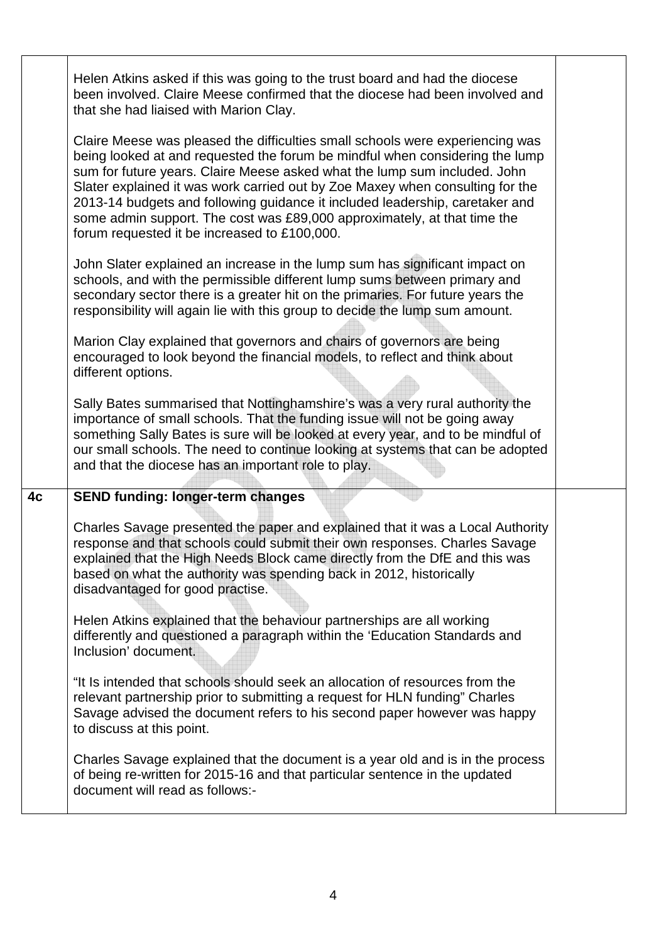|                | Helen Atkins asked if this was going to the trust board and had the diocese<br>been involved. Claire Meese confirmed that the diocese had been involved and<br>that she had liaised with Marion Clay.<br>Claire Meese was pleased the difficulties small schools were experiencing was<br>being looked at and requested the forum be mindful when considering the lump<br>sum for future years. Claire Meese asked what the lump sum included. John<br>Slater explained it was work carried out by Zoe Maxey when consulting for the<br>2013-14 budgets and following guidance it included leadership, caretaker and<br>some admin support. The cost was £89,000 approximately, at that time the<br>forum requested it be increased to £100,000. |  |
|----------------|--------------------------------------------------------------------------------------------------------------------------------------------------------------------------------------------------------------------------------------------------------------------------------------------------------------------------------------------------------------------------------------------------------------------------------------------------------------------------------------------------------------------------------------------------------------------------------------------------------------------------------------------------------------------------------------------------------------------------------------------------|--|
|                | John Slater explained an increase in the lump sum has significant impact on<br>schools, and with the permissible different lump sums between primary and<br>secondary sector there is a greater hit on the primaries. For future years the<br>responsibility will again lie with this group to decide the lump sum amount.                                                                                                                                                                                                                                                                                                                                                                                                                       |  |
|                | Marion Clay explained that governors and chairs of governors are being<br>encouraged to look beyond the financial models, to reflect and think about<br>different options.                                                                                                                                                                                                                                                                                                                                                                                                                                                                                                                                                                       |  |
|                | Sally Bates summarised that Nottinghamshire's was a very rural authority the<br>importance of small schools. That the funding issue will not be going away<br>something Sally Bates is sure will be looked at every year, and to be mindful of<br>our small schools. The need to continue looking at systems that can be adopted<br>and that the diocese has an important role to play.                                                                                                                                                                                                                                                                                                                                                          |  |
| 4 <sub>c</sub> | <b>SEND funding: longer-term changes</b>                                                                                                                                                                                                                                                                                                                                                                                                                                                                                                                                                                                                                                                                                                         |  |
|                | Charles Savage presented the paper and explained that it was a Local Authority<br>response and that schools could submit their own responses. Charles Savage<br>explained that the High Needs Block came directly from the DfE and this was<br>based on what the authority was spending back in 2012, historically<br>disadvantaged for good practise.                                                                                                                                                                                                                                                                                                                                                                                           |  |
|                | Helen Atkins explained that the behaviour partnerships are all working<br>differently and questioned a paragraph within the 'Education Standards and<br>Inclusion' document.                                                                                                                                                                                                                                                                                                                                                                                                                                                                                                                                                                     |  |
|                | "It Is intended that schools should seek an allocation of resources from the<br>relevant partnership prior to submitting a request for HLN funding" Charles<br>Savage advised the document refers to his second paper however was happy<br>to discuss at this point.                                                                                                                                                                                                                                                                                                                                                                                                                                                                             |  |
|                | Charles Savage explained that the document is a year old and is in the process<br>of being re-written for 2015-16 and that particular sentence in the updated<br>document will read as follows:-                                                                                                                                                                                                                                                                                                                                                                                                                                                                                                                                                 |  |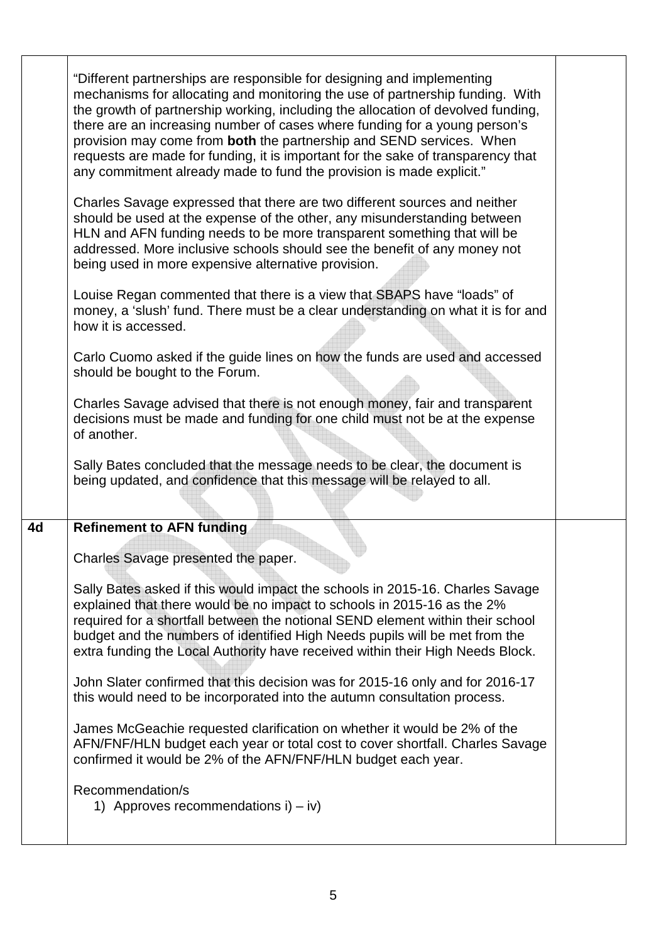|    | "Different partnerships are responsible for designing and implementing<br>mechanisms for allocating and monitoring the use of partnership funding. With<br>the growth of partnership working, including the allocation of devolved funding,<br>there are an increasing number of cases where funding for a young person's<br>provision may come from both the partnership and SEND services. When<br>requests are made for funding, it is important for the sake of transparency that<br>any commitment already made to fund the provision is made explicit." |  |
|----|---------------------------------------------------------------------------------------------------------------------------------------------------------------------------------------------------------------------------------------------------------------------------------------------------------------------------------------------------------------------------------------------------------------------------------------------------------------------------------------------------------------------------------------------------------------|--|
|    | Charles Savage expressed that there are two different sources and neither<br>should be used at the expense of the other, any misunderstanding between<br>HLN and AFN funding needs to be more transparent something that will be<br>addressed. More inclusive schools should see the benefit of any money not<br>being used in more expensive alternative provision.                                                                                                                                                                                          |  |
|    | Louise Regan commented that there is a view that SBAPS have "loads" of<br>money, a 'slush' fund. There must be a clear understanding on what it is for and<br>how it is accessed.                                                                                                                                                                                                                                                                                                                                                                             |  |
|    | Carlo Cuomo asked if the guide lines on how the funds are used and accessed<br>should be bought to the Forum.                                                                                                                                                                                                                                                                                                                                                                                                                                                 |  |
|    | Charles Savage advised that there is not enough money, fair and transparent<br>decisions must be made and funding for one child must not be at the expense<br>of another.                                                                                                                                                                                                                                                                                                                                                                                     |  |
|    | Sally Bates concluded that the message needs to be clear, the document is<br>being updated, and confidence that this message will be relayed to all.                                                                                                                                                                                                                                                                                                                                                                                                          |  |
| 4d | <b>Refinement to AFN funding</b>                                                                                                                                                                                                                                                                                                                                                                                                                                                                                                                              |  |
|    | Charles Savage presented the paper.                                                                                                                                                                                                                                                                                                                                                                                                                                                                                                                           |  |
|    | Sally Bates asked if this would impact the schools in 2015-16. Charles Savage<br>explained that there would be no impact to schools in 2015-16 as the 2%<br>required for a shortfall between the notional SEND element within their school<br>budget and the numbers of identified High Needs pupils will be met from the<br>extra funding the Local Authority have received within their High Needs Block.                                                                                                                                                   |  |
|    | John Slater confirmed that this decision was for 2015-16 only and for 2016-17<br>this would need to be incorporated into the autumn consultation process.                                                                                                                                                                                                                                                                                                                                                                                                     |  |
|    | James McGeachie requested clarification on whether it would be 2% of the<br>AFN/FNF/HLN budget each year or total cost to cover shortfall. Charles Savage<br>confirmed it would be 2% of the AFN/FNF/HLN budget each year.                                                                                                                                                                                                                                                                                                                                    |  |
|    | Recommendation/s<br>1) Approves recommendations $i$ ) – $iv$ )                                                                                                                                                                                                                                                                                                                                                                                                                                                                                                |  |
|    |                                                                                                                                                                                                                                                                                                                                                                                                                                                                                                                                                               |  |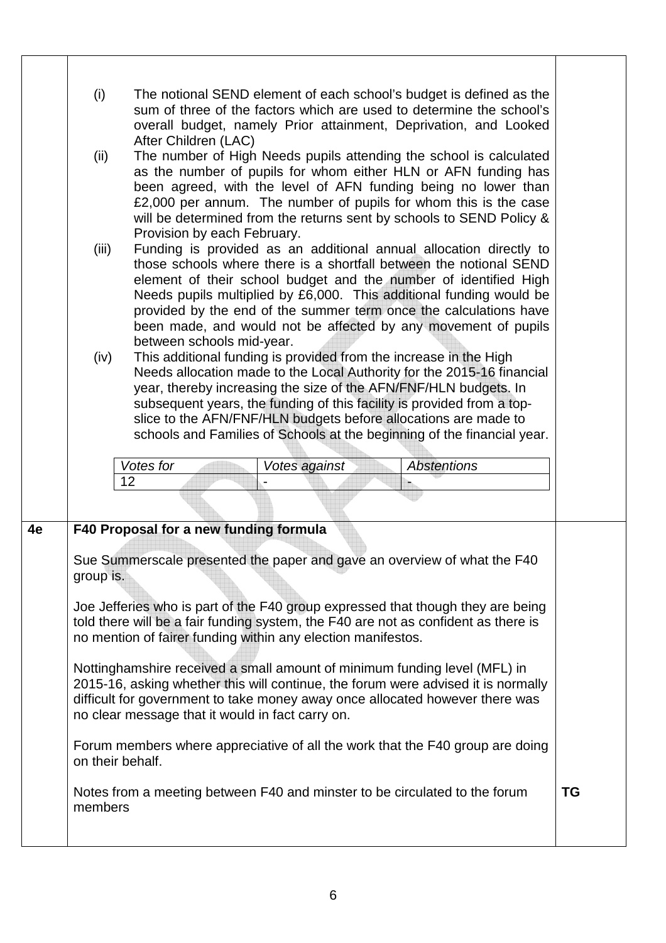|    | (i)<br>(ii)<br>(iii)<br>(iv)             | The notional SEND element of each school's budget is defined as the<br>sum of three of the factors which are used to determine the school's<br>overall budget, namely Prior attainment, Deprivation, and Looked<br>After Children (LAC)<br>The number of High Needs pupils attending the school is calculated<br>as the number of pupils for whom either HLN or AFN funding has<br>been agreed, with the level of AFN funding being no lower than<br>£2,000 per annum. The number of pupils for whom this is the case<br>will be determined from the returns sent by schools to SEND Policy &<br>Provision by each February.<br>Funding is provided as an additional annual allocation directly to<br>those schools where there is a shortfall between the notional SEND<br>element of their school budget and the number of identified High<br>Needs pupils multiplied by £6,000. This additional funding would be<br>provided by the end of the summer term once the calculations have<br>been made, and would not be affected by any movement of pupils<br>between schools mid-year.<br>This additional funding is provided from the increase in the High<br>Needs allocation made to the Local Authority for the 2015-16 financial<br>year, thereby increasing the size of the AFN/FNF/HLN budgets. In<br>subsequent years, the funding of this facility is provided from a top-<br>slice to the AFN/FNF/HLN budgets before allocations are made to<br>schools and Families of Schools at the beginning of the financial year.<br>Votes for<br><b>Abstentions</b><br>Votes against<br>12 |           |
|----|------------------------------------------|----------------------------------------------------------------------------------------------------------------------------------------------------------------------------------------------------------------------------------------------------------------------------------------------------------------------------------------------------------------------------------------------------------------------------------------------------------------------------------------------------------------------------------------------------------------------------------------------------------------------------------------------------------------------------------------------------------------------------------------------------------------------------------------------------------------------------------------------------------------------------------------------------------------------------------------------------------------------------------------------------------------------------------------------------------------------------------------------------------------------------------------------------------------------------------------------------------------------------------------------------------------------------------------------------------------------------------------------------------------------------------------------------------------------------------------------------------------------------------------------------------------------------------------------------------------------------------------------|-----------|
| 4e | group is.<br>on their behalf.<br>members | F40 Proposal for a new funding formula<br>Sue Summerscale presented the paper and gave an overview of what the F40<br>Joe Jefferies who is part of the F40 group expressed that though they are being<br>told there will be a fair funding system, the F40 are not as confident as there is<br>no mention of fairer funding within any election manifestos.<br>Nottinghamshire received a small amount of minimum funding level (MFL) in<br>2015-16, asking whether this will continue, the forum were advised it is normally<br>difficult for government to take money away once allocated however there was<br>no clear message that it would in fact carry on.<br>Forum members where appreciative of all the work that the F40 group are doing<br>Notes from a meeting between F40 and minster to be circulated to the forum                                                                                                                                                                                                                                                                                                                                                                                                                                                                                                                                                                                                                                                                                                                                                             | <b>TG</b> |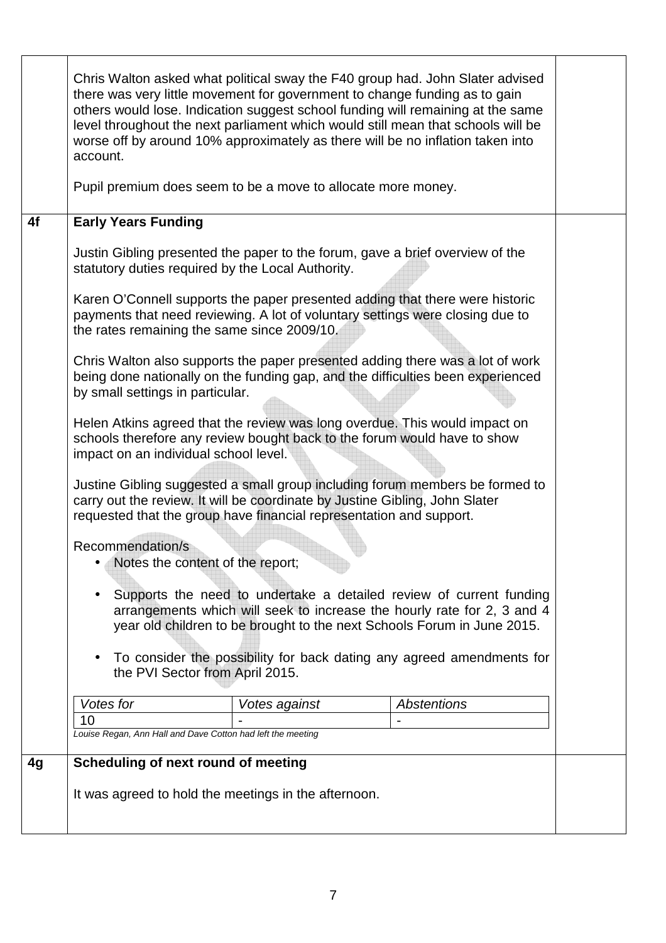|    | Chris Walton asked what political sway the F40 group had. John Slater advised<br>there was very little movement for government to change funding as to gain<br>others would lose. Indication suggest school funding will remaining at the same<br>level throughout the next parliament which would still mean that schools will be<br>worse off by around 10% approximately as there will be no inflation taken into<br>account. |  |  |
|----|----------------------------------------------------------------------------------------------------------------------------------------------------------------------------------------------------------------------------------------------------------------------------------------------------------------------------------------------------------------------------------------------------------------------------------|--|--|
|    | Pupil premium does seem to be a move to allocate more money.                                                                                                                                                                                                                                                                                                                                                                     |  |  |
| 4f | <b>Early Years Funding</b>                                                                                                                                                                                                                                                                                                                                                                                                       |  |  |
|    | Justin Gibling presented the paper to the forum, gave a brief overview of the<br>statutory duties required by the Local Authority.                                                                                                                                                                                                                                                                                               |  |  |
|    | Karen O'Connell supports the paper presented adding that there were historic<br>payments that need reviewing. A lot of voluntary settings were closing due to<br>the rates remaining the same since 2009/10.                                                                                                                                                                                                                     |  |  |
|    | Chris Walton also supports the paper presented adding there was a lot of work<br>being done nationally on the funding gap, and the difficulties been experienced<br>by small settings in particular.                                                                                                                                                                                                                             |  |  |
|    | Helen Atkins agreed that the review was long overdue. This would impact on<br>schools therefore any review bought back to the forum would have to show<br>impact on an individual school level.                                                                                                                                                                                                                                  |  |  |
|    | Justine Gibling suggested a small group including forum members be formed to<br>carry out the review. It will be coordinate by Justine Gibling, John Slater<br>requested that the group have financial representation and support.                                                                                                                                                                                               |  |  |
|    | Recommendation/s<br>Notes the content of the report;                                                                                                                                                                                                                                                                                                                                                                             |  |  |
|    | Supports the need to undertake a detailed review of current funding<br>arrangements which will seek to increase the hourly rate for 2, 3 and 4<br>year old children to be brought to the next Schools Forum in June 2015.                                                                                                                                                                                                        |  |  |
|    | To consider the possibility for back dating any agreed amendments for<br>the PVI Sector from April 2015.                                                                                                                                                                                                                                                                                                                         |  |  |
|    | Votes for<br><b>Abstentions</b><br>Votes against                                                                                                                                                                                                                                                                                                                                                                                 |  |  |
|    | 10<br>Louise Regan, Ann Hall and Dave Cotton had left the meeting                                                                                                                                                                                                                                                                                                                                                                |  |  |
| 4g | Scheduling of next round of meeting                                                                                                                                                                                                                                                                                                                                                                                              |  |  |
|    | It was agreed to hold the meetings in the afternoon.                                                                                                                                                                                                                                                                                                                                                                             |  |  |